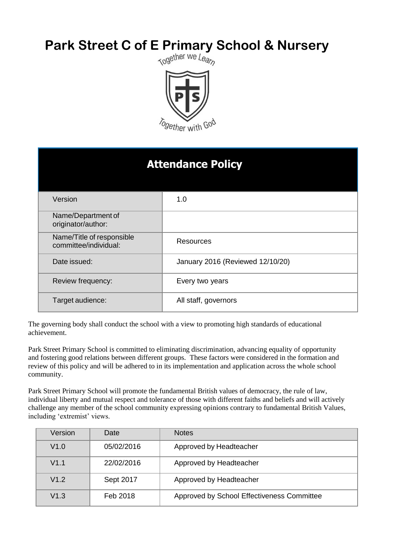# **Park Street C of E Primary School & Nursery**<br> **Rark Street C of E Primary School & Nursery**



| <b>Attendance Policy</b>                           |                                  |  |
|----------------------------------------------------|----------------------------------|--|
| Version                                            | 1.0                              |  |
| Name/Department of<br>originator/author:           |                                  |  |
| Name/Title of responsible<br>committee/individual: | <b>Resources</b>                 |  |
| Date issued:                                       | January 2016 (Reviewed 12/10/20) |  |
| Review frequency:                                  | Every two years                  |  |
| Target audience:                                   | All staff, governors             |  |

The governing body shall conduct the school with a view to promoting high standards of educational achievement.

Park Street Primary School is committed to eliminating discrimination, advancing equality of opportunity and fostering good relations between different groups. These factors were considered in the formation and review of this policy and will be adhered to in its implementation and application across the whole school community.

Park Street Primary School will promote the fundamental British values of democracy, the rule of law, individual liberty and mutual respect and tolerance of those with different faiths and beliefs and will actively challenge any member of the school community expressing opinions contrary to fundamental British Values, including 'extremist' views.

| Version | Date       | <b>Notes</b>                               |
|---------|------------|--------------------------------------------|
| V1.0    | 05/02/2016 | Approved by Headteacher                    |
| V1.1    | 22/02/2016 | Approved by Headteacher                    |
| V1.2    | Sept 2017  | Approved by Headteacher                    |
| V1.3    | Feb 2018   | Approved by School Effectiveness Committee |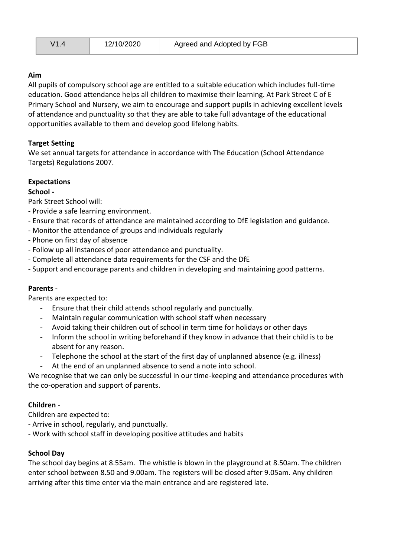| Agreed and Adopted by FGB<br>12/10/2020<br>V1 |  |
|-----------------------------------------------|--|
|-----------------------------------------------|--|

## **Aim**

All pupils of compulsory school age are entitled to a suitable education which includes full-time education. Good attendance helps all children to maximise their learning. At Park Street C of E Primary School and Nursery, we aim to encourage and support pupils in achieving excellent levels of attendance and punctuality so that they are able to take full advantage of the educational opportunities available to them and develop good lifelong habits.

#### **Target Setting**

We set annual targets for attendance in accordance with The Education (School Attendance Targets) Regulations 2007.

#### **Expectations**

#### **School -**

Park Street School will:

- Provide a safe learning environment.
- Ensure that records of attendance are maintained according to DfE legislation and guidance.
- Monitor the attendance of groups and individuals regularly
- Phone on first day of absence
- Follow up all instances of poor attendance and punctuality.
- Complete all attendance data requirements for the CSF and the DfE
- Support and encourage parents and children in developing and maintaining good patterns.

#### **Parents** -

Parents are expected to:

- Ensure that their child attends school regularly and punctually.
- Maintain regular communication with school staff when necessary
- Avoid taking their children out of school in term time for holidays or other days
- Inform the school in writing beforehand if they know in advance that their child is to be absent for any reason.
- Telephone the school at the start of the first day of unplanned absence (e.g. illness)
- At the end of an unplanned absence to send a note into school.

We recognise that we can only be successful in our time-keeping and attendance procedures with the co-operation and support of parents.

#### **Children** -

Children are expected to:

- Arrive in school, regularly, and punctually.
- Work with school staff in developing positive attitudes and habits

#### **School Day**

The school day begins at 8.55am. The whistle is blown in the playground at 8.50am. The children enter school between 8.50 and 9.00am. The registers will be closed after 9.05am. Any children arriving after this time enter via the main entrance and are registered late.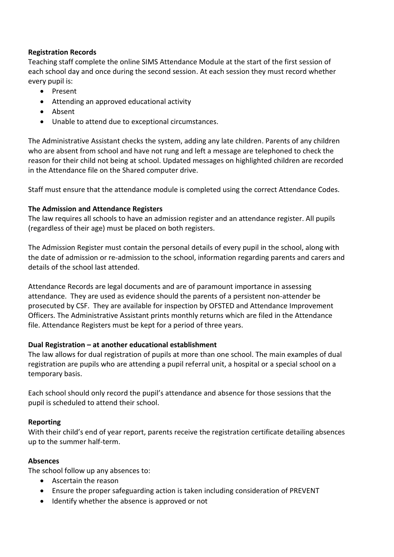#### **Registration Records**

Teaching staff complete the online SIMS Attendance Module at the start of the first session of each school day and once during the second session. At each session they must record whether every pupil is:

- Present
- Attending an approved educational activity
- Absent
- Unable to attend due to exceptional circumstances.

The Administrative Assistant checks the system, adding any late children. Parents of any children who are absent from school and have not rung and left a message are telephoned to check the reason for their child not being at school. Updated messages on highlighted children are recorded in the Attendance file on the Shared computer drive.

Staff must ensure that the attendance module is completed using the correct Attendance Codes.

#### **The Admission and Attendance Registers**

The law requires all schools to have an admission register and an attendance register. All pupils (regardless of their age) must be placed on both registers.

The Admission Register must contain the personal details of every pupil in the school, along with the date of admission or re-admission to the school, information regarding parents and carers and details of the school last attended.

Attendance Records are legal documents and are of paramount importance in assessing attendance. They are used as evidence should the parents of a persistent non-attender be prosecuted by CSF. They are available for inspection by OFSTED and Attendance Improvement Officers. The Administrative Assistant prints monthly returns which are filed in the Attendance file. Attendance Registers must be kept for a period of three years.

#### **Dual Registration – at another educational establishment**

The law allows for dual registration of pupils at more than one school. The main examples of dual registration are pupils who are attending a pupil referral unit, a hospital or a special school on a temporary basis.

Each school should only record the pupil's attendance and absence for those sessions that the pupil is scheduled to attend their school.

#### **Reporting**

With their child's end of year report, parents receive the registration certificate detailing absences up to the summer half-term.

#### **Absences**

The school follow up any absences to:

- Ascertain the reason
- Ensure the proper safeguarding action is taken including consideration of PREVENT
- Identify whether the absence is approved or not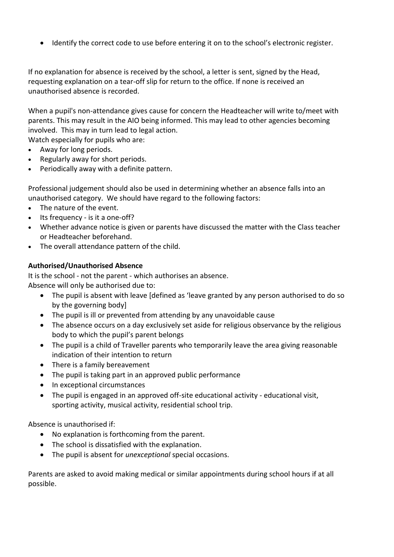Identify the correct code to use before entering it on to the school's electronic register.

If no explanation for absence is received by the school, a letter is sent, signed by the Head, requesting explanation on a tear-off slip for return to the office. If none is received an unauthorised absence is recorded.

When a pupil's non-attendance gives cause for concern the Headteacher will write to/meet with parents. This may result in the AIO being informed. This may lead to other agencies becoming involved. This may in turn lead to legal action.

Watch especially for pupils who are:

- Away for long periods.
- Regularly away for short periods.
- Periodically away with a definite pattern.

Professional judgement should also be used in determining whether an absence falls into an unauthorised category. We should have regard to the following factors:

- The nature of the event.
- $\bullet$  Its frequency is it a one-off?
- Whether advance notice is given or parents have discussed the matter with the Class teacher or Headteacher beforehand.
- The overall attendance pattern of the child.

## **Authorised/Unauthorised Absence**

It is the school - not the parent - which authorises an absence. Absence will only be authorised due to:

- The pupil is absent with leave [defined as 'leave granted by any person authorised to do so by the governing body]
- The pupil is ill or prevented from attending by any unavoidable cause
- The absence occurs on a day exclusively set aside for religious observance by the religious body to which the pupil's parent belongs
- The pupil is a child of Traveller parents who temporarily leave the area giving reasonable indication of their intention to return
- There is a family bereavement
- The pupil is taking part in an approved public performance
- In exceptional circumstances
- The pupil is engaged in an approved off-site educational activity educational visit, sporting activity, musical activity, residential school trip.

Absence is unauthorised if:

- No explanation is forthcoming from the parent.
- The school is dissatisfied with the explanation.
- The pupil is absent for *unexceptional* special occasions.

Parents are asked to avoid making medical or similar appointments during school hours if at all possible.